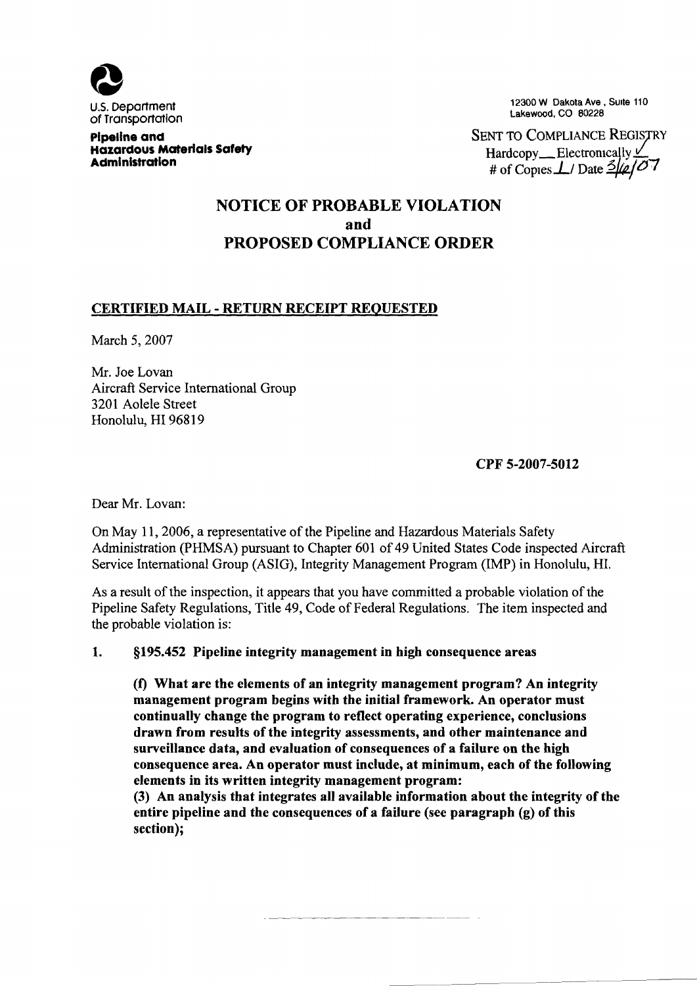

Pipeline and Hazardous Materials Safety **Administration** 

12300 W Dakota Ave, Suite 110 Lakewood, CO S0228

SENT TO COMPLIANCE REGISTRY Hardcopy \_\_ Electronically  $\vee$ # of Copies $\perp$ / Date  $\frac{3}{\mu}$ /07

## NOTICE OF PROBABLE VIOLATION and PROPOSED COMPLIANCE ORDER

## CERTIFIED MAIL - RETURN RECEIPT REQUESTED

March 5, 2007

Mr. Joe Lovan Aircraft Service International Group 3201 Aolele Street Honolulu, HI 96819

CPF 5-2007-5012

Dear Mr. Lovan:

On May 11, 2006, a representative of the Pipeline and Hazardous Materials Safety Administration (PHMSA) pursuant to Chapter 601 of 49 United States Code inspected Aircraft Service International Group (ASIG), Integrity Management Program (IMP) in Honolulu, HI.

As a result of the inspection, it appears that you have committed a probable violation of the Pipeline Safety Regulations, Title 49, Code of Federal Regulations. The item inspected and the probable violation is:

#### 1. §195.452 Pipeline integrity management in high consequence areas

(f) What are the elements of an integrity management program? An integrity management program begins with the initial framework. An operator must continually change the program to reflect operating experience, conclusions drawn from results of the integrity assessments, and other maintenance and surveillance data, and evaluation of consequences of a failure on the high consequence area. An operator must include, at minimum, each of the following elements in its written integrity management program:

(3) An analysis that integrates all available information about the integrity of the entire pipeline and the consequences of a failure (see paragraph (g) of this section);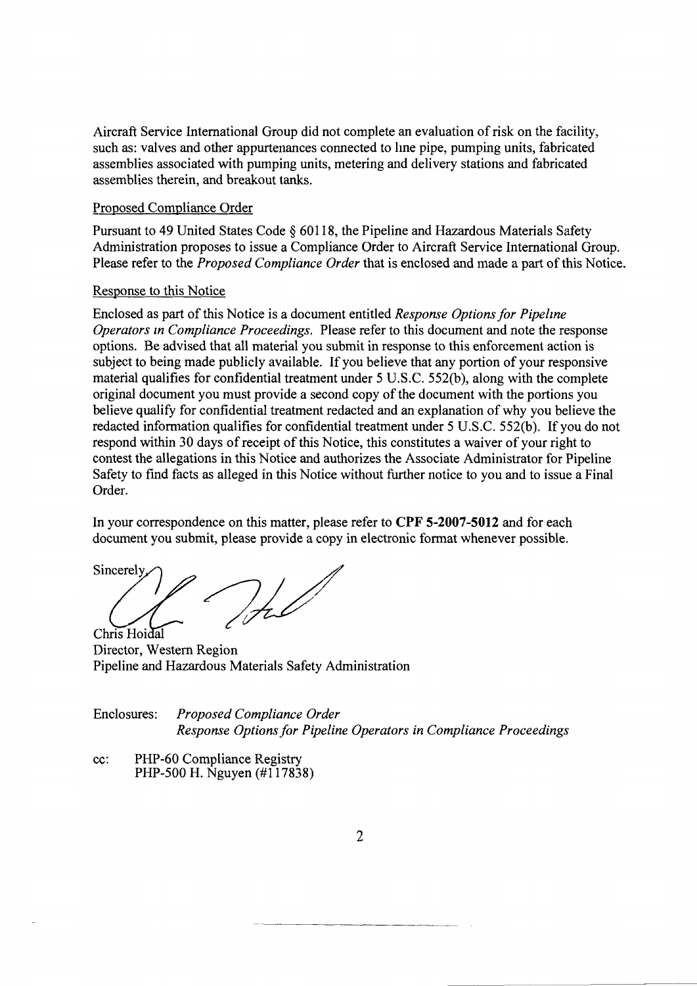Aircraft Service International Group did not complete an evaluation of risk on the facility, such as: valves and other appurtenances connected to line pipe, pumping units, fabricated assemblies associated with pumping units, metering and delivery stations and fabricated assemblies therein, and breakout tanks,

#### Proposed Compliance Order

Pursuant to 49 United States Code  $\S$  60118, the Pipeline and Hazardous Materials Safety Administration proposes to issue a Compliance Order to Aircraft Service International Group. Please refer to the *Proposed Compliance Order* that is enclosed and made a part of this Notice.

### Response to this Notice

Enclosed as part of this Notice is a document entitled Response Options for Pipeline Operators in Compliance Proceedings. Please refer to this document and note the response options. Be advised that all material you submit in response to this enforcement action is subject to being made publicly available. If you believe that any portion of your responsive material qualifies for confidential treatment under 5 U.S.C. 552(b), along with the complete original document you must provide a second copy of the document with the portions you believe qualify for confidential treatment redacted and an explanation of why you believe the redacted information qualifies for confidential treatment under 5 U.S.C. 552(b). If you do not respond within 30 days of receipt of this Notice, this constitutes a waiver of your right to contest the allegations in this Notice and authorizes the Associate Administrator for Pipeline Safety to find facts as alleged in this Notice without further notice to you and to issue a Final Order.

In your correspondence on this matter, please refer to CPF 5-2007-5012 and for each document you submit, please provide a copy in electronic format whenever possible.

Sincerely Jul Chris Hoidal

Director, Western Region Pipeline and Hazardous Materials Safety Administration

| Enclosures: | Proposed Compliance Order                                         |
|-------------|-------------------------------------------------------------------|
|             | Response Options for Pipeline Operators in Compliance Proceedings |

cc: PHP-60 Compliance Registry PHP-500 H. Nguyen (#117838)